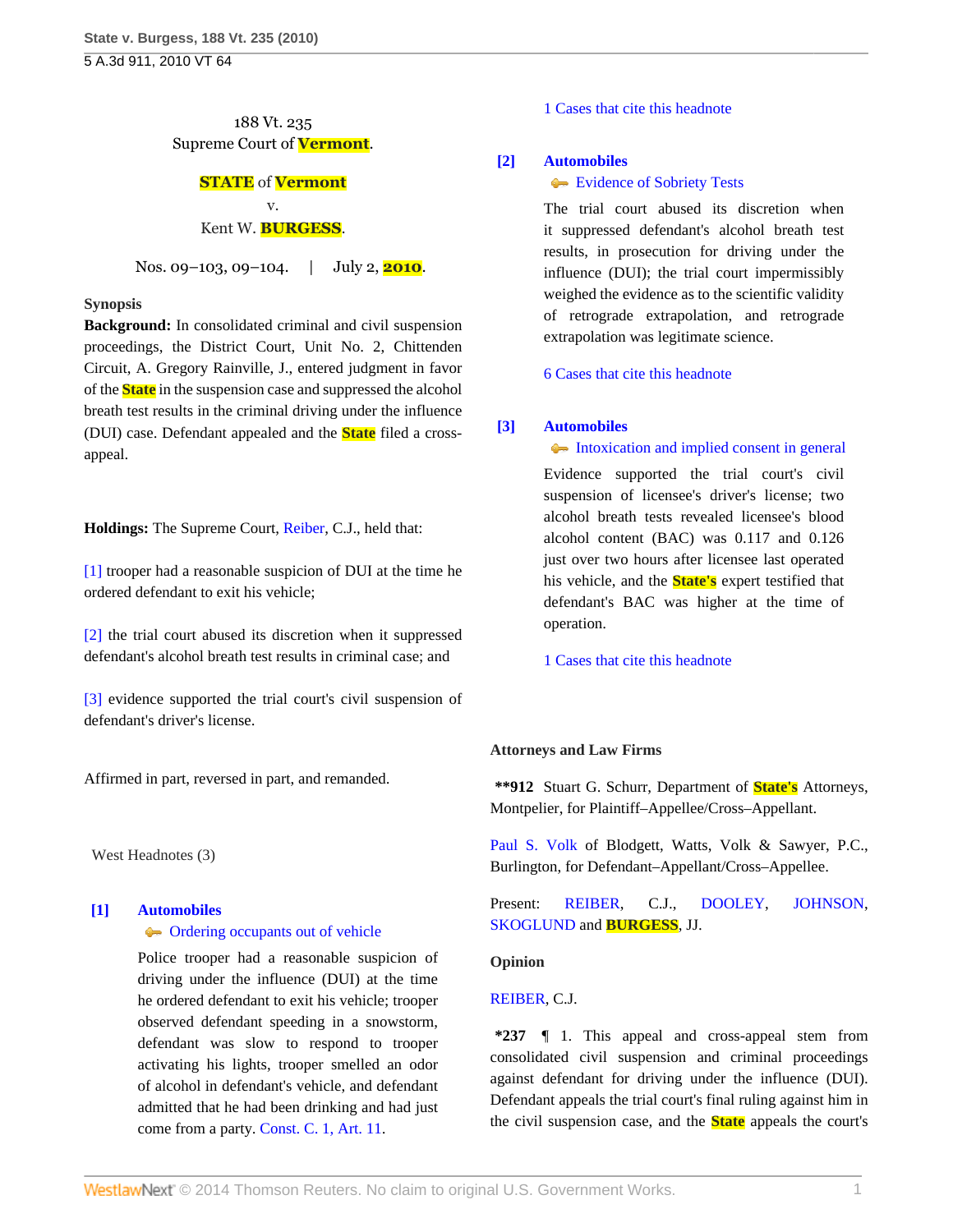## 188 Vt. 235 Supreme Court of **Vermont**.

## **STATE** of **Vermont** v.

## Kent W. **BURGESS**.

Nos. 09–103, 09–104. | July 2, **2010**.

#### **Synopsis**

**Background:** In consolidated criminal and civil suspension proceedings, the District Court, Unit No. 2, Chittenden Circuit, A. Gregory Rainville, J., entered judgment in favor of the **State** in the suspension case and suppressed the alcohol breath test results in the criminal driving under the influence (DUI) case. Defendant appealed and the **State** filed a crossappeal.

**Holdings:** The Supreme Court, [Reiber,](http://www.westlaw.com/Link/Document/FullText?findType=h&pubNum=176284&cite=0141970501&originatingDoc=I8d262209860111dfbe8a8e1700ec828b&refType=RQ&originationContext=document&vr=3.0&rs=cblt1.0&transitionType=DocumentItem&contextData=(sc.Search)) C.J., held that:

[\[1\]](#page-0-0) trooper had a reasonable suspicion of DUI at the time he ordered defendant to exit his vehicle;

[\[2\]](#page-0-1) the trial court abused its discretion when it suppressed defendant's alcohol breath test results in criminal case; and

[\[3\]](#page-0-2) evidence supported the trial court's civil suspension of defendant's driver's license.

Affirmed in part, reversed in part, and remanded.

West Headnotes (3)

# <span id="page-0-0"></span>**[\[1\]](#page-2-0) [Automobiles](http://www.westlaw.com/Browse/Home/KeyNumber/48A/View.html?docGuid=I8d262209860111dfbe8a8e1700ec828b&originationContext=document&vr=3.0&rs=cblt1.0&transitionType=DocumentItem&contextData=(sc.Search))**

## **C** [Ordering occupants out of vehicle](http://www.westlaw.com/Browse/Home/KeyNumber/48Ak349(16)/View.html?docGuid=I8d262209860111dfbe8a8e1700ec828b&originationContext=document&vr=3.0&rs=cblt1.0&transitionType=DocumentItem&contextData=(sc.Search))

Police trooper had a reasonable suspicion of driving under the influence (DUI) at the time he ordered defendant to exit his vehicle; trooper observed defendant speeding in a snowstorm, defendant was slow to respond to trooper activating his lights, trooper smelled an odor of alcohol in defendant's vehicle, and defendant admitted that he had been drinking and had just come from a party. [Const. C. 1, Art. 11](http://www.westlaw.com/Link/Document/FullText?findType=L&pubNum=1000883&cite=VTCNCIART11&originatingDoc=I8d262209860111dfbe8a8e1700ec828b&refType=LQ&originationContext=document&vr=3.0&rs=cblt1.0&transitionType=DocumentItem&contextData=(sc.Search)).

[1 Cases that cite this headnote](http://www.westlaw.com/Link/RelatedInformation/DocHeadnoteLink?docGuid=I8d262209860111dfbe8a8e1700ec828b&headnoteId=202244974900120110106120931&originationContext=document&vr=3.0&rs=cblt1.0&transitionType=CitingReferences&contextData=(sc.Search))

#### <span id="page-0-1"></span>**[\[2\]](#page-2-1) [Automobiles](http://www.westlaw.com/Browse/Home/KeyNumber/48A/View.html?docGuid=I8d262209860111dfbe8a8e1700ec828b&originationContext=document&vr=3.0&rs=cblt1.0&transitionType=DocumentItem&contextData=(sc.Search))**

#### **[Evidence of Sobriety Tests](http://www.westlaw.com/Browse/Home/KeyNumber/48AIX/View.html?docGuid=I8d262209860111dfbe8a8e1700ec828b&originationContext=document&vr=3.0&rs=cblt1.0&transitionType=DocumentItem&contextData=(sc.Search))**

The trial court abused its discretion when it suppressed defendant's alcohol breath test results, in prosecution for driving under the influence (DUI); the trial court impermissibly weighed the evidence as to the scientific validity of retrograde extrapolation, and retrograde extrapolation was legitimate science.

[6 Cases that cite this headnote](http://www.westlaw.com/Link/RelatedInformation/DocHeadnoteLink?docGuid=I8d262209860111dfbe8a8e1700ec828b&headnoteId=202244974900220110106120931&originationContext=document&vr=3.0&rs=cblt1.0&transitionType=CitingReferences&contextData=(sc.Search))

#### <span id="page-0-2"></span>**[\[3\]](#page-3-0) [Automobiles](http://www.westlaw.com/Browse/Home/KeyNumber/48A/View.html?docGuid=I8d262209860111dfbe8a8e1700ec828b&originationContext=document&vr=3.0&rs=cblt1.0&transitionType=DocumentItem&contextData=(sc.Search))**

[Intoxication and implied consent in general](http://www.westlaw.com/Browse/Home/KeyNumber/48Ak144.2(10.2)/View.html?docGuid=I8d262209860111dfbe8a8e1700ec828b&originationContext=document&vr=3.0&rs=cblt1.0&transitionType=DocumentItem&contextData=(sc.Search))

Evidence supported the trial court's civil suspension of licensee's driver's license; two alcohol breath tests revealed licensee's blood alcohol content (BAC) was 0.117 and 0.126 just over two hours after licensee last operated his vehicle, and the **State's** expert testified that defendant's BAC was higher at the time of operation.

[1 Cases that cite this headnote](http://www.westlaw.com/Link/RelatedInformation/DocHeadnoteLink?docGuid=I8d262209860111dfbe8a8e1700ec828b&headnoteId=202244974900320110106120931&originationContext=document&vr=3.0&rs=cblt1.0&transitionType=CitingReferences&contextData=(sc.Search))

#### **Attorneys and Law Firms**

**\*\*912** Stuart G. Schurr, Department of **State's** Attorneys, Montpelier, for Plaintiff–Appellee/Cross–Appellant.

[Paul S. Volk](http://www.westlaw.com/Link/Document/FullText?findType=h&pubNum=176284&cite=0127479601&originatingDoc=I8d262209860111dfbe8a8e1700ec828b&refType=RQ&originationContext=document&vr=3.0&rs=cblt1.0&transitionType=DocumentItem&contextData=(sc.Search)) of Blodgett, Watts, Volk & Sawyer, P.C., Burlington, for Defendant–Appellant/Cross–Appellee.

Present: [REIBER,](http://www.westlaw.com/Link/Document/FullText?findType=h&pubNum=176284&cite=0141970501&originatingDoc=I8d262209860111dfbe8a8e1700ec828b&refType=RQ&originationContext=document&vr=3.0&rs=cblt1.0&transitionType=DocumentItem&contextData=(sc.Search)) C.J., [DOOLEY,](http://www.westlaw.com/Link/Document/FullText?findType=h&pubNum=176284&cite=0264531601&originatingDoc=I8d262209860111dfbe8a8e1700ec828b&refType=RQ&originationContext=document&vr=3.0&rs=cblt1.0&transitionType=DocumentItem&contextData=(sc.Search)) [JOHNSON](http://www.westlaw.com/Link/Document/FullText?findType=h&pubNum=176284&cite=0230836001&originatingDoc=I8d262209860111dfbe8a8e1700ec828b&refType=RQ&originationContext=document&vr=3.0&rs=cblt1.0&transitionType=DocumentItem&contextData=(sc.Search)), [SKOGLUND](http://www.westlaw.com/Link/Document/FullText?findType=h&pubNum=176284&cite=0197190101&originatingDoc=I8d262209860111dfbe8a8e1700ec828b&refType=RQ&originationContext=document&vr=3.0&rs=cblt1.0&transitionType=DocumentItem&contextData=(sc.Search)) and **[BURGESS](http://www.westlaw.com/Link/Document/FullText?findType=h&pubNum=176284&cite=0119873701&originatingDoc=I8d262209860111dfbe8a8e1700ec828b&refType=RQ&originationContext=document&vr=3.0&rs=cblt1.0&transitionType=DocumentItem&contextData=(sc.Search))**, JJ.

#### **Opinion**

#### [REIBER,](http://www.westlaw.com/Link/Document/FullText?findType=h&pubNum=176284&cite=0141970501&originatingDoc=I8d262209860111dfbe8a8e1700ec828b&refType=RQ&originationContext=document&vr=3.0&rs=cblt1.0&transitionType=DocumentItem&contextData=(sc.Search)) C.J.

**\*237** ¶ 1. This appeal and cross-appeal stem from consolidated civil suspension and criminal proceedings against defendant for driving under the influence (DUI). Defendant appeals the trial court's final ruling against him in the civil suspension case, and the **State** appeals the court's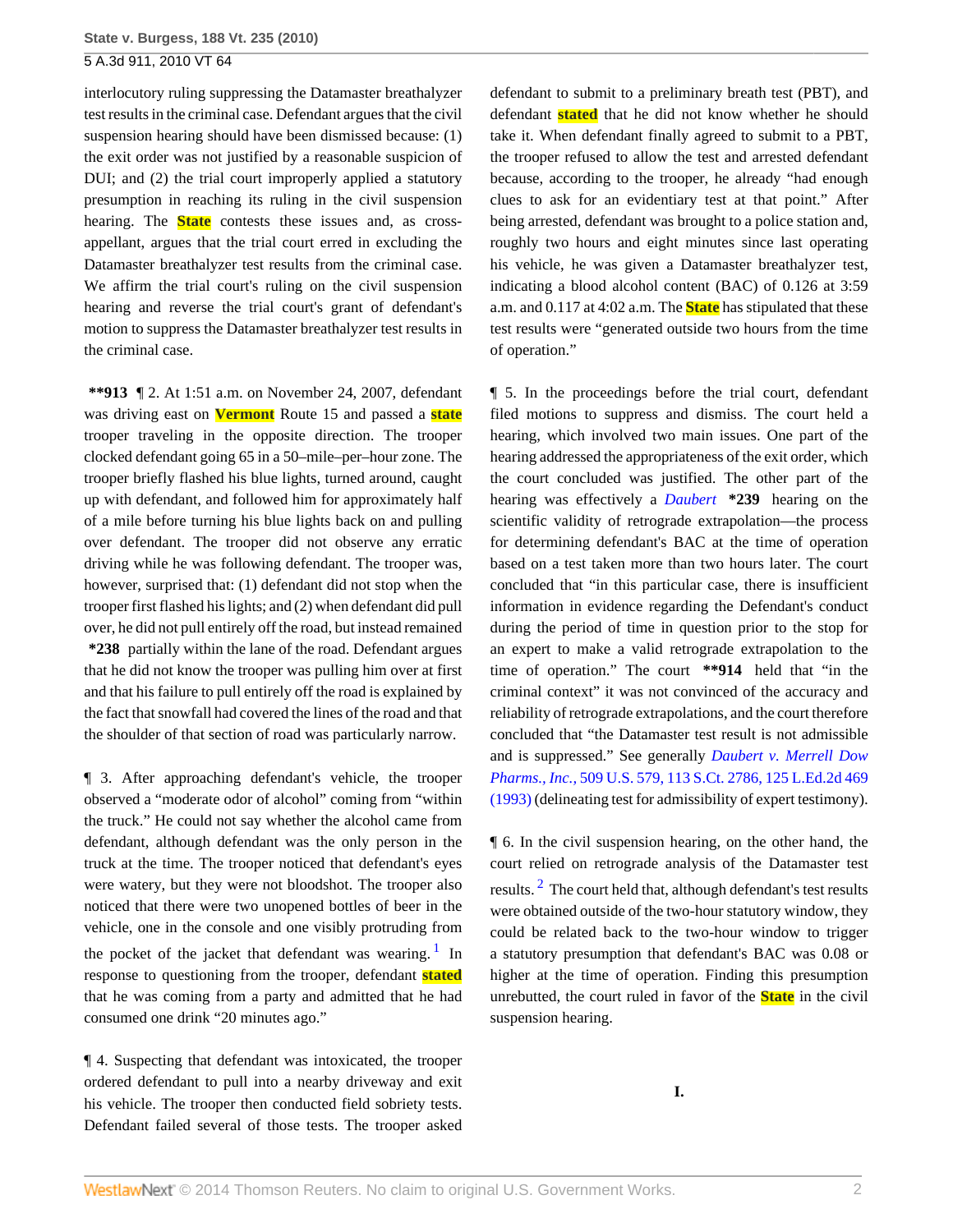interlocutory ruling suppressing the Datamaster breathalyzer test results in the criminal case. Defendant argues that the civil suspension hearing should have been dismissed because: (1) the exit order was not justified by a reasonable suspicion of DUI; and (2) the trial court improperly applied a statutory presumption in reaching its ruling in the civil suspension hearing. The **State** contests these issues and, as crossappellant, argues that the trial court erred in excluding the Datamaster breathalyzer test results from the criminal case. We affirm the trial court's ruling on the civil suspension hearing and reverse the trial court's grant of defendant's motion to suppress the Datamaster breathalyzer test results in the criminal case.

**\*\*913** ¶ 2. At 1:51 a.m. on November 24, 2007, defendant was driving east on **Vermont** Route 15 and passed a **state** trooper traveling in the opposite direction. The trooper clocked defendant going 65 in a 50–mile–per–hour zone. The trooper briefly flashed his blue lights, turned around, caught up with defendant, and followed him for approximately half of a mile before turning his blue lights back on and pulling over defendant. The trooper did not observe any erratic driving while he was following defendant. The trooper was, however, surprised that: (1) defendant did not stop when the trooper first flashed his lights; and (2) when defendant did pull over, he did not pull entirely off the road, but instead remained **\*238** partially within the lane of the road. Defendant argues that he did not know the trooper was pulling him over at first and that his failure to pull entirely off the road is explained by the fact that snowfall had covered the lines of the road and that the shoulder of that section of road was particularly narrow.

¶ 3. After approaching defendant's vehicle, the trooper observed a "moderate odor of alcohol" coming from "within the truck." He could not say whether the alcohol came from defendant, although defendant was the only person in the truck at the time. The trooper noticed that defendant's eyes were watery, but they were not bloodshot. The trooper also noticed that there were two unopened bottles of beer in the vehicle, one in the console and one visibly protruding from the pocket of the jacket that defendant was wearing.<sup>[1](#page-4-0)</sup> In response to questioning from the trooper, defendant **stated** that he was coming from a party and admitted that he had consumed one drink "20 minutes ago."

¶ 4. Suspecting that defendant was intoxicated, the trooper ordered defendant to pull into a nearby driveway and exit his vehicle. The trooper then conducted field sobriety tests. Defendant failed several of those tests. The trooper asked defendant to submit to a preliminary breath test (PBT), and defendant **stated** that he did not know whether he should take it. When defendant finally agreed to submit to a PBT, the trooper refused to allow the test and arrested defendant because, according to the trooper, he already "had enough clues to ask for an evidentiary test at that point." After being arrested, defendant was brought to a police station and, roughly two hours and eight minutes since last operating his vehicle, he was given a Datamaster breathalyzer test, indicating a blood alcohol content (BAC) of 0.126 at 3:59 a.m. and 0.117 at 4:02 a.m. The **State** has stipulated that these test results were "generated outside two hours from the time of operation."

¶ 5. In the proceedings before the trial court, defendant filed motions to suppress and dismiss. The court held a hearing, which involved two main issues. One part of the hearing addressed the appropriateness of the exit order, which the court concluded was justified. The other part of the hearing was effectively a *[Daubert](http://www.westlaw.com/Link/Document/FullText?findType=Y&serNum=1993130674&originationContext=document&vr=3.0&rs=cblt1.0&transitionType=DocumentItem&contextData=(sc.Search))* **\*239** hearing on the scientific validity of retrograde extrapolation—the process for determining defendant's BAC at the time of operation based on a test taken more than two hours later. The court concluded that "in this particular case, there is insufficient information in evidence regarding the Defendant's conduct during the period of time in question prior to the stop for an expert to make a valid retrograde extrapolation to the time of operation." The court **\*\*914** held that "in the criminal context" it was not convinced of the accuracy and reliability of retrograde extrapolations, and the court therefore concluded that "the Datamaster test result is not admissible and is suppressed." See generally *[Daubert v. Merrell Dow](http://www.westlaw.com/Link/Document/FullText?findType=Y&serNum=1993130674&pubNum=708&originationContext=document&vr=3.0&rs=cblt1.0&transitionType=DocumentItem&contextData=(sc.Search)) Pharms., Inc.,* [509 U.S. 579, 113 S.Ct. 2786, 125 L.Ed.2d 469](http://www.westlaw.com/Link/Document/FullText?findType=Y&serNum=1993130674&pubNum=708&originationContext=document&vr=3.0&rs=cblt1.0&transitionType=DocumentItem&contextData=(sc.Search)) [\(1993\)](http://www.westlaw.com/Link/Document/FullText?findType=Y&serNum=1993130674&pubNum=708&originationContext=document&vr=3.0&rs=cblt1.0&transitionType=DocumentItem&contextData=(sc.Search)) (delineating test for admissibility of expert testimony).

<span id="page-1-1"></span><span id="page-1-0"></span>¶ 6. In the civil suspension hearing, on the other hand, the court relied on retrograde analysis of the Datamaster test results.  $^2$  $^2$  The court held that, although defendant's test results were obtained outside of the two-hour statutory window, they could be related back to the two-hour window to trigger a statutory presumption that defendant's BAC was 0.08 or higher at the time of operation. Finding this presumption unrebutted, the court ruled in favor of the **State** in the civil suspension hearing.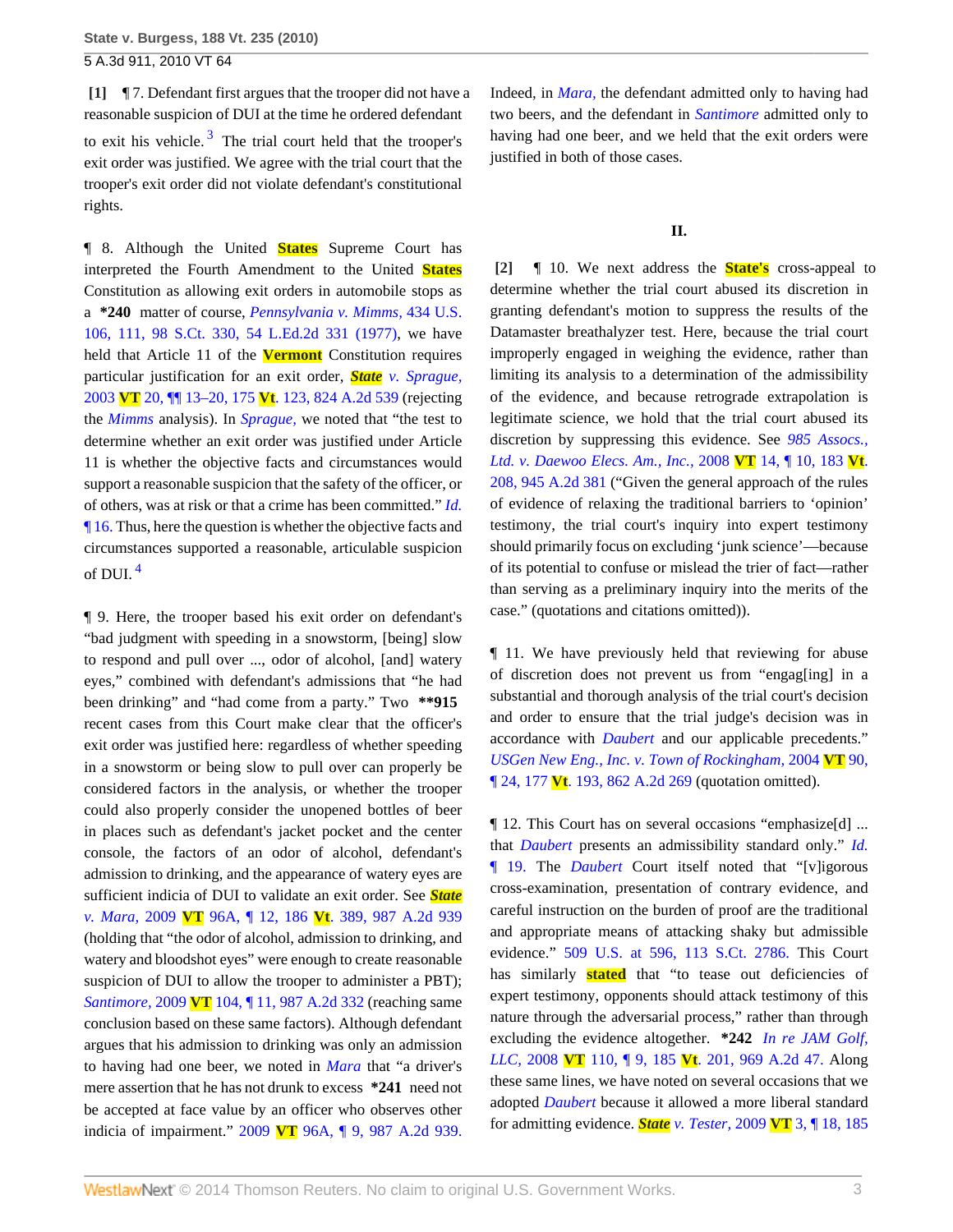<span id="page-2-2"></span><span id="page-2-0"></span>**[\[1\]](#page-0-0)** ¶ 7. Defendant first argues that the trooper did not have a reasonable suspicion of DUI at the time he ordered defendant to exit his vehicle.<sup>[3](#page-4-2)</sup> The trial court held that the trooper's exit order was justified. We agree with the trial court that the trooper's exit order did not violate defendant's constitutional rights.

¶ 8. Although the United **States** Supreme Court has interpreted the Fourth Amendment to the United **States** Constitution as allowing exit orders in automobile stops as a **\*240** matter of course, *[Pennsylvania v. Mimms,](http://www.westlaw.com/Link/Document/FullText?findType=Y&serNum=1978145388&pubNum=708&originationContext=document&vr=3.0&rs=cblt1.0&transitionType=DocumentItem&contextData=(sc.Search))* 434 U.S. [106, 111, 98 S.Ct. 330, 54 L.Ed.2d 331 \(1977\)](http://www.westlaw.com/Link/Document/FullText?findType=Y&serNum=1978145388&pubNum=708&originationContext=document&vr=3.0&rs=cblt1.0&transitionType=DocumentItem&contextData=(sc.Search)), we have held that Article 11 of the **Vermont** Constitution requires particular justification for an exit order, *State [v. Sprague,](http://www.westlaw.com/Link/Document/FullText?findType=Y&serNum=2003175489&pubNum=162&originationContext=document&vr=3.0&rs=cblt1.0&transitionType=DocumentItem&contextData=(sc.Search))* 2003 **VT** 20, ¶¶ 13–20, 175 **Vt**[. 123, 824 A.2d 539](http://www.westlaw.com/Link/Document/FullText?findType=Y&serNum=2003175489&pubNum=162&originationContext=document&vr=3.0&rs=cblt1.0&transitionType=DocumentItem&contextData=(sc.Search)) (rejecting the *[Mimms](http://www.westlaw.com/Link/Document/FullText?findType=Y&serNum=1978145388&originationContext=document&vr=3.0&rs=cblt1.0&transitionType=DocumentItem&contextData=(sc.Search))* analysis). In *[Sprague,](http://www.westlaw.com/Link/Document/FullText?findType=Y&serNum=2003175489&originationContext=document&vr=3.0&rs=cblt1.0&transitionType=DocumentItem&contextData=(sc.Search))* we noted that "the test to determine whether an exit order was justified under Article 11 is whether the objective facts and circumstances would support a reasonable suspicion that the safety of the officer, or of others, was at risk or that a crime has been committed." *[Id.](http://www.westlaw.com/Link/Document/FullText?findType=Y&serNum=2003175489&originationContext=document&vr=3.0&rs=cblt1.0&transitionType=DocumentItem&contextData=(sc.Search))* [¶ 16.](http://www.westlaw.com/Link/Document/FullText?findType=Y&serNum=2003175489&originationContext=document&vr=3.0&rs=cblt1.0&transitionType=DocumentItem&contextData=(sc.Search)) Thus, here the question is whether the objective facts and circumstances supported a reasonable, articulable suspicion of DUI. [4](#page-4-3)

<span id="page-2-3"></span>¶ 9. Here, the trooper based his exit order on defendant's "bad judgment with speeding in a snowstorm, [being] slow to respond and pull over ..., odor of alcohol, [and] watery eyes," combined with defendant's admissions that "he had been drinking" and "had come from a party." Two **\*\*915** recent cases from this Court make clear that the officer's exit order was justified here: regardless of whether speeding in a snowstorm or being slow to pull over can properly be considered factors in the analysis, or whether the trooper could also properly consider the unopened bottles of beer in places such as defendant's jacket pocket and the center console, the factors of an odor of alcohol, defendant's admission to drinking, and the appearance of watery eyes are sufficient indicia of DUI to validate an exit order. See *[State](http://www.westlaw.com/Link/Document/FullText?findType=Y&serNum=2020093264&pubNum=162&originationContext=document&vr=3.0&rs=cblt1.0&transitionType=DocumentItem&contextData=(sc.Search)) v. Mara,* 2009 **VT** 96A, ¶ 12, 186 **Vt**[. 389, 987 A.2d 939](http://www.westlaw.com/Link/Document/FullText?findType=Y&serNum=2020093264&pubNum=162&originationContext=document&vr=3.0&rs=cblt1.0&transitionType=DocumentItem&contextData=(sc.Search)) (holding that "the odor of alcohol, admission to drinking, and watery and bloodshot eyes" were enough to create reasonable suspicion of DUI to allow the trooper to administer a PBT); *Santimore,* 2009 **VT** [104, ¶ 11, 987 A.2d 332](http://www.westlaw.com/Link/Document/FullText?findType=Y&serNum=2020370515&pubNum=162&originationContext=document&vr=3.0&rs=cblt1.0&transitionType=DocumentItem&contextData=(sc.Search)) (reaching same conclusion based on these same factors). Although defendant argues that his admission to drinking was only an admission to having had one beer, we noted in *[Mara](http://www.westlaw.com/Link/Document/FullText?findType=Y&serNum=2020093264&originationContext=document&vr=3.0&rs=cblt1.0&transitionType=DocumentItem&contextData=(sc.Search))* that "a driver's mere assertion that he has not drunk to excess **\*241** need not be accepted at face value by an officer who observes other indicia of impairment." 2009 **VT** [96A, ¶ 9, 987 A.2d 939.](http://www.westlaw.com/Link/Document/FullText?findType=Y&serNum=2020093264&pubNum=162&originationContext=document&vr=3.0&rs=cblt1.0&transitionType=DocumentItem&contextData=(sc.Search))

Indeed, in *[Mara,](http://www.westlaw.com/Link/Document/FullText?findType=Y&serNum=2020093264&originationContext=document&vr=3.0&rs=cblt1.0&transitionType=DocumentItem&contextData=(sc.Search))* the defendant admitted only to having had two beers, and the defendant in *[Santimore](http://www.westlaw.com/Link/Document/FullText?findType=Y&serNum=2020370515&originationContext=document&vr=3.0&rs=cblt1.0&transitionType=DocumentItem&contextData=(sc.Search))* admitted only to having had one beer, and we held that the exit orders were justified in both of those cases.

#### **II.**

<span id="page-2-1"></span>**[\[2\]](#page-0-1)** ¶ 10. We next address the **State's** cross-appeal to determine whether the trial court abused its discretion in granting defendant's motion to suppress the results of the Datamaster breathalyzer test. Here, because the trial court improperly engaged in weighing the evidence, rather than limiting its analysis to a determination of the admissibility of the evidence, and because retrograde extrapolation is legitimate science, we hold that the trial court abused its discretion by suppressing this evidence. See *[985 Assocs.,](http://www.westlaw.com/Link/Document/FullText?findType=Y&serNum=2015174067&pubNum=162&originationContext=document&vr=3.0&rs=cblt1.0&transitionType=DocumentItem&contextData=(sc.Search)) [Ltd. v. Daewoo Elecs. Am., Inc.,](http://www.westlaw.com/Link/Document/FullText?findType=Y&serNum=2015174067&pubNum=162&originationContext=document&vr=3.0&rs=cblt1.0&transitionType=DocumentItem&contextData=(sc.Search))* 2008 **VT** 14, ¶ 10, 183 **Vt**. [208, 945 A.2d 381](http://www.westlaw.com/Link/Document/FullText?findType=Y&serNum=2015174067&pubNum=162&originationContext=document&vr=3.0&rs=cblt1.0&transitionType=DocumentItem&contextData=(sc.Search)) ("Given the general approach of the rules of evidence of relaxing the traditional barriers to 'opinion' testimony, the trial court's inquiry into expert testimony should primarily focus on excluding 'junk science'—because of its potential to confuse or mislead the trier of fact—rather than serving as a preliminary inquiry into the merits of the case." (quotations and citations omitted)).

¶ 11. We have previously held that reviewing for abuse of discretion does not prevent us from "engag[ing] in a substantial and thorough analysis of the trial court's decision and order to ensure that the trial judge's decision was in accordance with *[Daubert](http://www.westlaw.com/Link/Document/FullText?findType=Y&serNum=1993130674&originationContext=document&vr=3.0&rs=cblt1.0&transitionType=DocumentItem&contextData=(sc.Search))* and our applicable precedents." *[USGen New Eng., Inc. v. Town of Rockingham,](http://www.westlaw.com/Link/Document/FullText?findType=Y&serNum=2005115258&pubNum=162&originationContext=document&vr=3.0&rs=cblt1.0&transitionType=DocumentItem&contextData=(sc.Search))* 2004 **VT** 90, ¶ 24, 177 **Vt**[. 193, 862 A.2d 269](http://www.westlaw.com/Link/Document/FullText?findType=Y&serNum=2005115258&pubNum=162&originationContext=document&vr=3.0&rs=cblt1.0&transitionType=DocumentItem&contextData=(sc.Search)) (quotation omitted).

¶ 12. This Court has on several occasions "emphasize[d] ... that *[Daubert](http://www.westlaw.com/Link/Document/FullText?findType=Y&serNum=1993130674&originationContext=document&vr=3.0&rs=cblt1.0&transitionType=DocumentItem&contextData=(sc.Search))* presents an admissibility standard only." *[Id.](http://www.westlaw.com/Link/Document/FullText?findType=Y&serNum=2005115258&originationContext=document&vr=3.0&rs=cblt1.0&transitionType=DocumentItem&contextData=(sc.Search))* [¶ 19.](http://www.westlaw.com/Link/Document/FullText?findType=Y&serNum=2005115258&originationContext=document&vr=3.0&rs=cblt1.0&transitionType=DocumentItem&contextData=(sc.Search)) The *[Daubert](http://www.westlaw.com/Link/Document/FullText?findType=Y&serNum=1993130674&originationContext=document&vr=3.0&rs=cblt1.0&transitionType=DocumentItem&contextData=(sc.Search))* Court itself noted that "[v]igorous cross-examination, presentation of contrary evidence, and careful instruction on the burden of proof are the traditional and appropriate means of attacking shaky but admissible evidence." [509 U.S. at 596, 113 S.Ct. 2786.](http://www.westlaw.com/Link/Document/FullText?findType=Y&serNum=1993130674&pubNum=708&originationContext=document&vr=3.0&rs=cblt1.0&transitionType=DocumentItem&contextData=(sc.Search)) This Court has similarly **stated** that "to tease out deficiencies of expert testimony, opponents should attack testimony of this nature through the adversarial process," rather than through excluding the evidence altogether. **\*242** *[In re JAM Golf,](http://www.westlaw.com/Link/Document/FullText?findType=Y&serNum=2016809829&pubNum=162&originationContext=document&vr=3.0&rs=cblt1.0&transitionType=DocumentItem&contextData=(sc.Search)) LLC,* 2008 **VT** 110, ¶ 9, 185 **Vt**[. 201, 969 A.2d 47.](http://www.westlaw.com/Link/Document/FullText?findType=Y&serNum=2016809829&pubNum=162&originationContext=document&vr=3.0&rs=cblt1.0&transitionType=DocumentItem&contextData=(sc.Search)) Along these same lines, we have noted on several occasions that we adopted *[Daubert](http://www.westlaw.com/Link/Document/FullText?findType=Y&serNum=1993130674&originationContext=document&vr=3.0&rs=cblt1.0&transitionType=DocumentItem&contextData=(sc.Search))* because it allowed a more liberal standard for admitting evidence. *State v. Tester,* 2009 **VT** [3, ¶ 18, 185](http://www.westlaw.com/Link/Document/FullText?findType=Y&serNum=2017978235&pubNum=162&originationContext=document&vr=3.0&rs=cblt1.0&transitionType=DocumentItem&contextData=(sc.Search))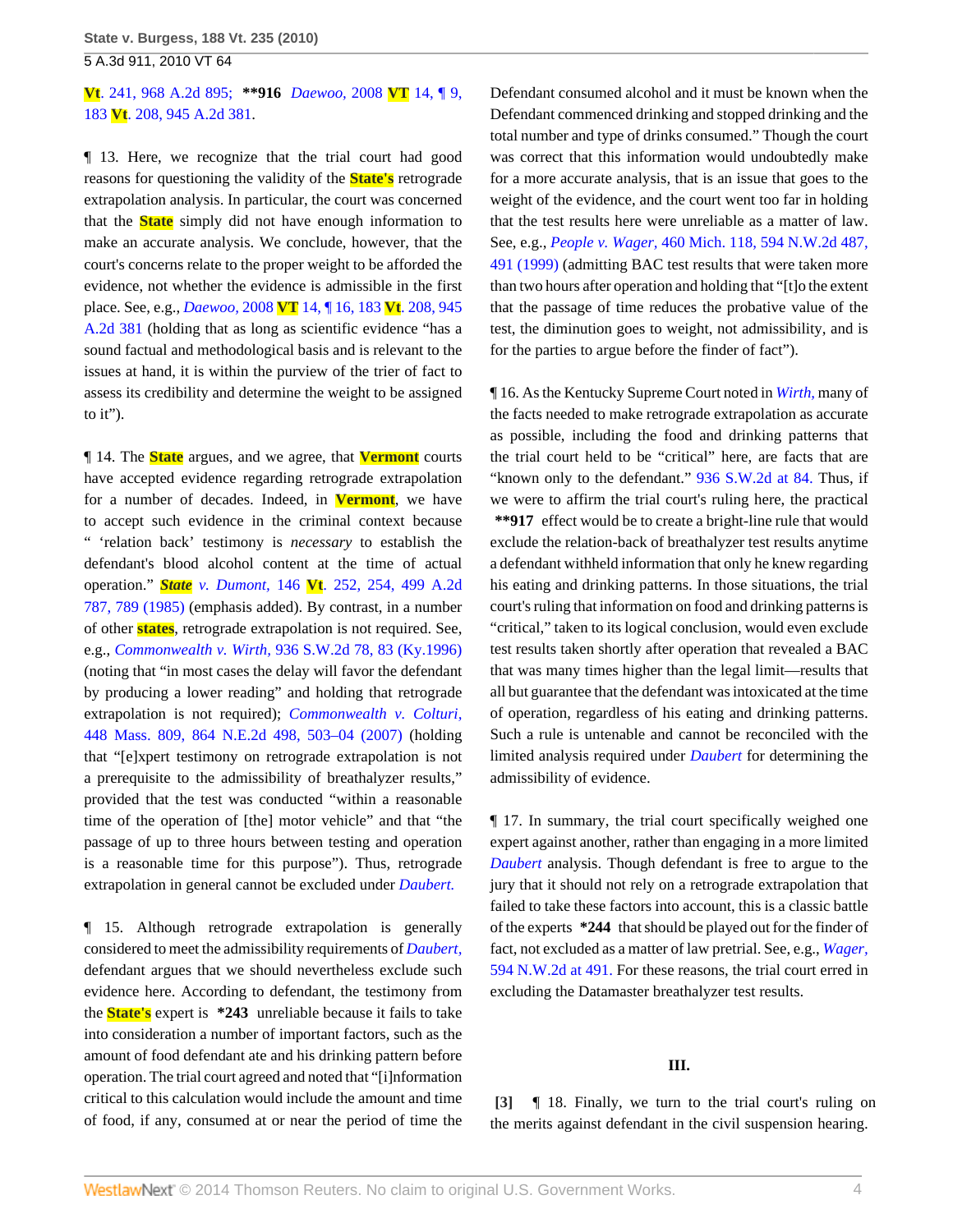## **Vt**[. 241, 968 A.2d 895;](http://www.westlaw.com/Link/Document/FullText?findType=Y&serNum=2017978235&pubNum=162&originationContext=document&vr=3.0&rs=cblt1.0&transitionType=DocumentItem&contextData=(sc.Search)) **\*\*916** *[Daewoo,](http://www.westlaw.com/Link/Document/FullText?findType=Y&serNum=2015174067&pubNum=162&originationContext=document&vr=3.0&rs=cblt1.0&transitionType=DocumentItem&contextData=(sc.Search))* 2008 **VT** 14, ¶ 9, 183 **Vt**[. 208, 945 A.2d 381.](http://www.westlaw.com/Link/Document/FullText?findType=Y&serNum=2015174067&pubNum=162&originationContext=document&vr=3.0&rs=cblt1.0&transitionType=DocumentItem&contextData=(sc.Search))

¶ 13. Here, we recognize that the trial court had good reasons for questioning the validity of the **State's** retrograde extrapolation analysis. In particular, the court was concerned that the **State** simply did not have enough information to make an accurate analysis. We conclude, however, that the court's concerns relate to the proper weight to be afforded the evidence, not whether the evidence is admissible in the first place. See, e.g., *Daewoo,* 2008 **VT** [14, ¶ 16, 183](http://www.westlaw.com/Link/Document/FullText?findType=Y&serNum=2015174067&pubNum=162&originationContext=document&vr=3.0&rs=cblt1.0&transitionType=DocumentItem&contextData=(sc.Search)) **Vt**. 208, 945 [A.2d 381](http://www.westlaw.com/Link/Document/FullText?findType=Y&serNum=2015174067&pubNum=162&originationContext=document&vr=3.0&rs=cblt1.0&transitionType=DocumentItem&contextData=(sc.Search)) (holding that as long as scientific evidence "has a sound factual and methodological basis and is relevant to the issues at hand, it is within the purview of the trier of fact to assess its credibility and determine the weight to be assigned to it").

¶ 14. The **State** argues, and we agree, that **Vermont** courts have accepted evidence regarding retrograde extrapolation for a number of decades. Indeed, in **Vermont**, we have to accept such evidence in the criminal context because " 'relation back' testimony is *necessary* to establish the defendant's blood alcohol content at the time of actual operation." *State v. Dumont,* 146 **Vt**[. 252, 254, 499 A.2d](http://www.westlaw.com/Link/Document/FullText?findType=Y&serNum=1985153964&pubNum=162&fi=co_pp_sp_162_789&originationContext=document&vr=3.0&rs=cblt1.0&transitionType=DocumentItem&contextData=(sc.Search)#co_pp_sp_162_789) [787, 789 \(1985\)](http://www.westlaw.com/Link/Document/FullText?findType=Y&serNum=1985153964&pubNum=162&fi=co_pp_sp_162_789&originationContext=document&vr=3.0&rs=cblt1.0&transitionType=DocumentItem&contextData=(sc.Search)#co_pp_sp_162_789) (emphasis added). By contrast, in a number of other **states**, retrograde extrapolation is not required. See, e.g., *Commonwealth v. Wirth,* [936 S.W.2d 78, 83 \(Ky.1996\)](http://www.westlaw.com/Link/Document/FullText?findType=Y&serNum=1996221102&pubNum=713&fi=co_pp_sp_713_83&originationContext=document&vr=3.0&rs=cblt1.0&transitionType=DocumentItem&contextData=(sc.Search)#co_pp_sp_713_83) (noting that "in most cases the delay will favor the defendant by producing a lower reading" and holding that retrograde extrapolation is not required); *[Commonwealth v. Colturi,](http://www.westlaw.com/Link/Document/FullText?findType=Y&serNum=2011976147&pubNum=578&fi=co_pp_sp_578_503&originationContext=document&vr=3.0&rs=cblt1.0&transitionType=DocumentItem&contextData=(sc.Search)#co_pp_sp_578_503)* [448 Mass. 809, 864 N.E.2d 498, 503–04 \(2007\)](http://www.westlaw.com/Link/Document/FullText?findType=Y&serNum=2011976147&pubNum=578&fi=co_pp_sp_578_503&originationContext=document&vr=3.0&rs=cblt1.0&transitionType=DocumentItem&contextData=(sc.Search)#co_pp_sp_578_503) (holding that "[e]xpert testimony on retrograde extrapolation is not a prerequisite to the admissibility of breathalyzer results," provided that the test was conducted "within a reasonable time of the operation of [the] motor vehicle" and that "the passage of up to three hours between testing and operation is a reasonable time for this purpose"). Thus, retrograde extrapolation in general cannot be excluded under *[Daubert.](http://www.westlaw.com/Link/Document/FullText?findType=Y&serNum=1993130674&originationContext=document&vr=3.0&rs=cblt1.0&transitionType=DocumentItem&contextData=(sc.Search))*

¶ 15. Although retrograde extrapolation is generally considered to meet the admissibility requirements of *[Daubert,](http://www.westlaw.com/Link/Document/FullText?findType=Y&serNum=1993130674&originationContext=document&vr=3.0&rs=cblt1.0&transitionType=DocumentItem&contextData=(sc.Search))* defendant argues that we should nevertheless exclude such evidence here. According to defendant, the testimony from the **State's** expert is **\*243** unreliable because it fails to take into consideration a number of important factors, such as the amount of food defendant ate and his drinking pattern before operation. The trial court agreed and noted that "[i]nformation critical to this calculation would include the amount and time of food, if any, consumed at or near the period of time the Defendant consumed alcohol and it must be known when the Defendant commenced drinking and stopped drinking and the total number and type of drinks consumed." Though the court was correct that this information would undoubtedly make for a more accurate analysis, that is an issue that goes to the weight of the evidence, and the court went too far in holding that the test results here were unreliable as a matter of law. See, e.g., *People v. Wager,* [460 Mich. 118, 594 N.W.2d 487,](http://www.westlaw.com/Link/Document/FullText?findType=Y&serNum=1999142075&pubNum=595&fi=co_pp_sp_595_491&originationContext=document&vr=3.0&rs=cblt1.0&transitionType=DocumentItem&contextData=(sc.Search)#co_pp_sp_595_491) [491 \(1999\)](http://www.westlaw.com/Link/Document/FullText?findType=Y&serNum=1999142075&pubNum=595&fi=co_pp_sp_595_491&originationContext=document&vr=3.0&rs=cblt1.0&transitionType=DocumentItem&contextData=(sc.Search)#co_pp_sp_595_491) (admitting BAC test results that were taken more than two hours after operation and holding that "[t]o the extent that the passage of time reduces the probative value of the test, the diminution goes to weight, not admissibility, and is for the parties to argue before the finder of fact").

¶ 16. As the Kentucky Supreme Court noted in *[Wirth,](http://www.westlaw.com/Link/Document/FullText?findType=Y&serNum=1996221102&originationContext=document&vr=3.0&rs=cblt1.0&transitionType=DocumentItem&contextData=(sc.Search))* many of the facts needed to make retrograde extrapolation as accurate as possible, including the food and drinking patterns that the trial court held to be "critical" here, are facts that are "known only to the defendant." [936 S.W.2d at 84.](http://www.westlaw.com/Link/Document/FullText?findType=Y&serNum=1996221102&pubNum=713&fi=co_pp_sp_713_84&originationContext=document&vr=3.0&rs=cblt1.0&transitionType=DocumentItem&contextData=(sc.Search)#co_pp_sp_713_84) Thus, if we were to affirm the trial court's ruling here, the practical **\*\*917** effect would be to create a bright-line rule that would exclude the relation-back of breathalyzer test results anytime a defendant withheld information that only he knew regarding his eating and drinking patterns. In those situations, the trial court's ruling that information on food and drinking patterns is "critical," taken to its logical conclusion, would even exclude test results taken shortly after operation that revealed a BAC that was many times higher than the legal limit—results that all but guarantee that the defendant was intoxicated at the time of operation, regardless of his eating and drinking patterns. Such a rule is untenable and cannot be reconciled with the limited analysis required under *[Daubert](http://www.westlaw.com/Link/Document/FullText?findType=Y&serNum=1993130674&originationContext=document&vr=3.0&rs=cblt1.0&transitionType=DocumentItem&contextData=(sc.Search))* for determining the admissibility of evidence.

¶ 17. In summary, the trial court specifically weighed one expert against another, rather than engaging in a more limited *[Daubert](http://www.westlaw.com/Link/Document/FullText?findType=Y&serNum=1993130674&originationContext=document&vr=3.0&rs=cblt1.0&transitionType=DocumentItem&contextData=(sc.Search))* analysis. Though defendant is free to argue to the jury that it should not rely on a retrograde extrapolation that failed to take these factors into account, this is a classic battle of the experts **\*244** that should be played out for the finder of fact, not excluded as a matter of law pretrial. See, e.g., *[Wager,](http://www.westlaw.com/Link/Document/FullText?findType=Y&serNum=1999142075&pubNum=595&fi=co_pp_sp_595_491&originationContext=document&vr=3.0&rs=cblt1.0&transitionType=DocumentItem&contextData=(sc.Search)#co_pp_sp_595_491)* [594 N.W.2d at 491.](http://www.westlaw.com/Link/Document/FullText?findType=Y&serNum=1999142075&pubNum=595&fi=co_pp_sp_595_491&originationContext=document&vr=3.0&rs=cblt1.0&transitionType=DocumentItem&contextData=(sc.Search)#co_pp_sp_595_491) For these reasons, the trial court erred in excluding the Datamaster breathalyzer test results.

#### **III.**

<span id="page-3-0"></span>**[\[3\]](#page-0-2)** ¶ 18. Finally, we turn to the trial court's ruling on the merits against defendant in the civil suspension hearing.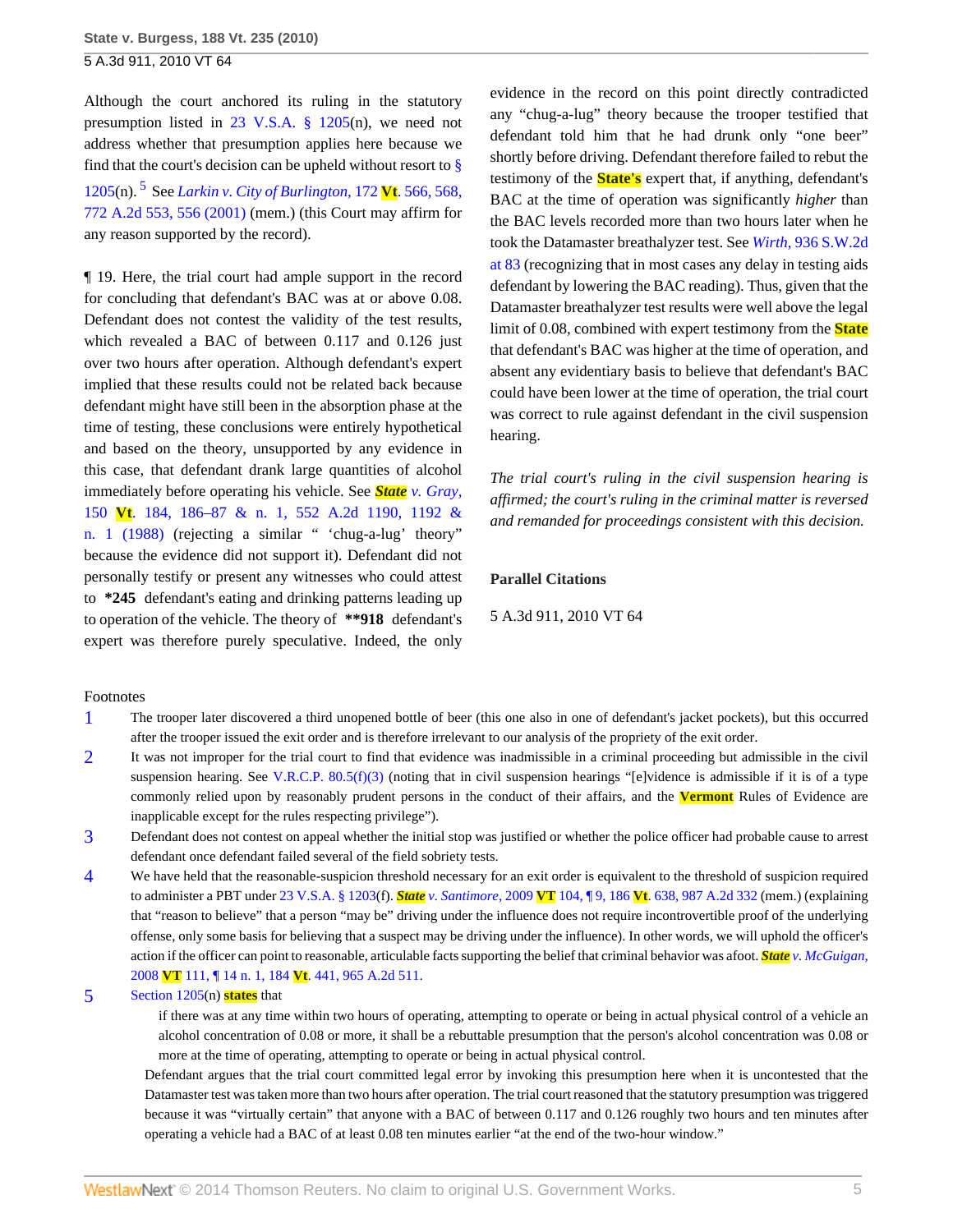<span id="page-4-5"></span>Although the court anchored its ruling in the statutory presumption listed in [23 V.S.A. § 1205\(](http://www.westlaw.com/Link/Document/FullText?findType=L&pubNum=1000883&cite=VTST23S1205&originatingDoc=I8d262209860111dfbe8a8e1700ec828b&refType=LQ&originationContext=document&vr=3.0&rs=cblt1.0&transitionType=DocumentItem&contextData=(sc.Search))n), we need not address whether that presumption applies here because we find that the court's decision can be upheld without resort to  $\frac{8}{9}$ [1205](http://www.westlaw.com/Link/Document/FullText?findType=L&pubNum=1000883&cite=VTST23S1205&originatingDoc=I8d262209860111dfbe8a8e1700ec828b&refType=LQ&originationContext=document&vr=3.0&rs=cblt1.0&transitionType=DocumentItem&contextData=(sc.Search))(n). [5](#page-4-4) See *[Larkin v. City of Burlington,](http://www.westlaw.com/Link/Document/FullText?findType=Y&serNum=2001326306&pubNum=162&fi=co_pp_sp_162_556&originationContext=document&vr=3.0&rs=cblt1.0&transitionType=DocumentItem&contextData=(sc.Search)#co_pp_sp_162_556)* 172 **Vt**. 566, 568, [772 A.2d 553, 556 \(2001\)](http://www.westlaw.com/Link/Document/FullText?findType=Y&serNum=2001326306&pubNum=162&fi=co_pp_sp_162_556&originationContext=document&vr=3.0&rs=cblt1.0&transitionType=DocumentItem&contextData=(sc.Search)#co_pp_sp_162_556) (mem.) (this Court may affirm for any reason supported by the record).

¶ 19. Here, the trial court had ample support in the record for concluding that defendant's BAC was at or above 0.08. Defendant does not contest the validity of the test results, which revealed a BAC of between 0.117 and 0.126 just over two hours after operation. Although defendant's expert implied that these results could not be related back because defendant might have still been in the absorption phase at the time of testing, these conclusions were entirely hypothetical and based on the theory, unsupported by any evidence in this case, that defendant drank large quantities of alcohol immediately before operating his vehicle. See *State [v. Gray,](http://www.westlaw.com/Link/Document/FullText?findType=Y&serNum=1989004407&pubNum=162&fi=co_pp_sp_162_1192&originationContext=document&vr=3.0&rs=cblt1.0&transitionType=DocumentItem&contextData=(sc.Search)#co_pp_sp_162_1192)* 150 **Vt**[. 184, 186–87 & n. 1, 552 A.2d 1190, 1192 &](http://www.westlaw.com/Link/Document/FullText?findType=Y&serNum=1989004407&pubNum=162&fi=co_pp_sp_162_1192&originationContext=document&vr=3.0&rs=cblt1.0&transitionType=DocumentItem&contextData=(sc.Search)#co_pp_sp_162_1192) [n. 1 \(1988\)](http://www.westlaw.com/Link/Document/FullText?findType=Y&serNum=1989004407&pubNum=162&fi=co_pp_sp_162_1192&originationContext=document&vr=3.0&rs=cblt1.0&transitionType=DocumentItem&contextData=(sc.Search)#co_pp_sp_162_1192) (rejecting a similar " 'chug-a-lug' theory" because the evidence did not support it). Defendant did not personally testify or present any witnesses who could attest to **\*245** defendant's eating and drinking patterns leading up to operation of the vehicle. The theory of **\*\*918** defendant's expert was therefore purely speculative. Indeed, the only

evidence in the record on this point directly contradicted any "chug-a-lug" theory because the trooper testified that defendant told him that he had drunk only "one beer" shortly before driving. Defendant therefore failed to rebut the testimony of the **State's** expert that, if anything, defendant's BAC at the time of operation was significantly *higher* than the BAC levels recorded more than two hours later when he took the Datamaster breathalyzer test. See *Wirth,* [936 S.W.2d](http://www.westlaw.com/Link/Document/FullText?findType=Y&serNum=1996221102&pubNum=713&fi=co_pp_sp_713_83&originationContext=document&vr=3.0&rs=cblt1.0&transitionType=DocumentItem&contextData=(sc.Search)#co_pp_sp_713_83) [at 83](http://www.westlaw.com/Link/Document/FullText?findType=Y&serNum=1996221102&pubNum=713&fi=co_pp_sp_713_83&originationContext=document&vr=3.0&rs=cblt1.0&transitionType=DocumentItem&contextData=(sc.Search)#co_pp_sp_713_83) (recognizing that in most cases any delay in testing aids defendant by lowering the BAC reading). Thus, given that the Datamaster breathalyzer test results were well above the legal limit of 0.08, combined with expert testimony from the **State** that defendant's BAC was higher at the time of operation, and absent any evidentiary basis to believe that defendant's BAC could have been lower at the time of operation, the trial court was correct to rule against defendant in the civil suspension hearing.

*The trial court's ruling in the civil suspension hearing is affirmed; the court's ruling in the criminal matter is reversed and remanded for proceedings consistent with this decision.*

#### **Parallel Citations**

5 A.3d 911, 2010 VT 64

#### Footnotes

- <span id="page-4-0"></span>[1](#page-1-0) The trooper later discovered a third unopened bottle of beer (this one also in one of defendant's jacket pockets), but this occurred after the trooper issued the exit order and is therefore irrelevant to our analysis of the propriety of the exit order.
- <span id="page-4-1"></span>[2](#page-1-1) It was not improper for the trial court to find that evidence was inadmissible in a criminal proceeding but admissible in the civil suspension hearing. See V.R.C.P.  $80.5(f)(3)$  (noting that in civil suspension hearings "[e]vidence is admissible if it is of a type commonly relied upon by reasonably prudent persons in the conduct of their affairs, and the **Vermont** Rules of Evidence are inapplicable except for the rules respecting privilege").
- <span id="page-4-2"></span>[3](#page-2-2) Defendant does not contest on appeal whether the initial stop was justified or whether the police officer had probable cause to arrest defendant once defendant failed several of the field sobriety tests.
- <span id="page-4-3"></span>[4](#page-2-3) We have held that the reasonable-suspicion threshold necessary for an exit order is equivalent to the threshold of suspicion required to administer a PBT under [23 V.S.A. § 1203\(](http://www.westlaw.com/Link/Document/FullText?findType=L&pubNum=1000883&cite=VTST23S1203&originatingDoc=I8d262209860111dfbe8a8e1700ec828b&refType=LQ&originationContext=document&vr=3.0&rs=cblt1.0&transitionType=DocumentItem&contextData=(sc.Search))f). *State v. Santimore,* 2009 **VT** 104, ¶ 9, 186 **Vt**[. 638, 987 A.2d 332](http://www.westlaw.com/Link/Document/FullText?findType=Y&serNum=2020370515&pubNum=162&originationContext=document&vr=3.0&rs=cblt1.0&transitionType=DocumentItem&contextData=(sc.Search)) (mem.) (explaining that "reason to believe" that a person "may be" driving under the influence does not require incontrovertible proof of the underlying offense, only some basis for believing that a suspect may be driving under the influence). In other words, we will uphold the officer's action if the officer can point to reasonable, articulable facts supporting the belief that criminal behavior was afoot. *State [v. McGuigan,](http://www.westlaw.com/Link/Document/FullText?findType=Y&serNum=2016752030&pubNum=162&originationContext=document&vr=3.0&rs=cblt1.0&transitionType=DocumentItem&contextData=(sc.Search))* 2008 **VT** 111, ¶ 14 n. 1, 184 **Vt**[. 441, 965 A.2d 511.](http://www.westlaw.com/Link/Document/FullText?findType=Y&serNum=2016752030&pubNum=162&originationContext=document&vr=3.0&rs=cblt1.0&transitionType=DocumentItem&contextData=(sc.Search))

#### <span id="page-4-4"></span>[5](#page-4-5) [Section 1205](http://www.westlaw.com/Link/Document/FullText?findType=L&pubNum=1000883&cite=VTST23S1205&originatingDoc=I8d262209860111dfbe8a8e1700ec828b&refType=LQ&originationContext=document&vr=3.0&rs=cblt1.0&transitionType=DocumentItem&contextData=(sc.Search))(n) **states** that

if there was at any time within two hours of operating, attempting to operate or being in actual physical control of a vehicle an alcohol concentration of 0.08 or more, it shall be a rebuttable presumption that the person's alcohol concentration was 0.08 or more at the time of operating, attempting to operate or being in actual physical control.

Defendant argues that the trial court committed legal error by invoking this presumption here when it is uncontested that the Datamaster test was taken more than two hours after operation. The trial court reasoned that the statutory presumption was triggered because it was "virtually certain" that anyone with a BAC of between 0.117 and 0.126 roughly two hours and ten minutes after operating a vehicle had a BAC of at least 0.08 ten minutes earlier "at the end of the two-hour window."